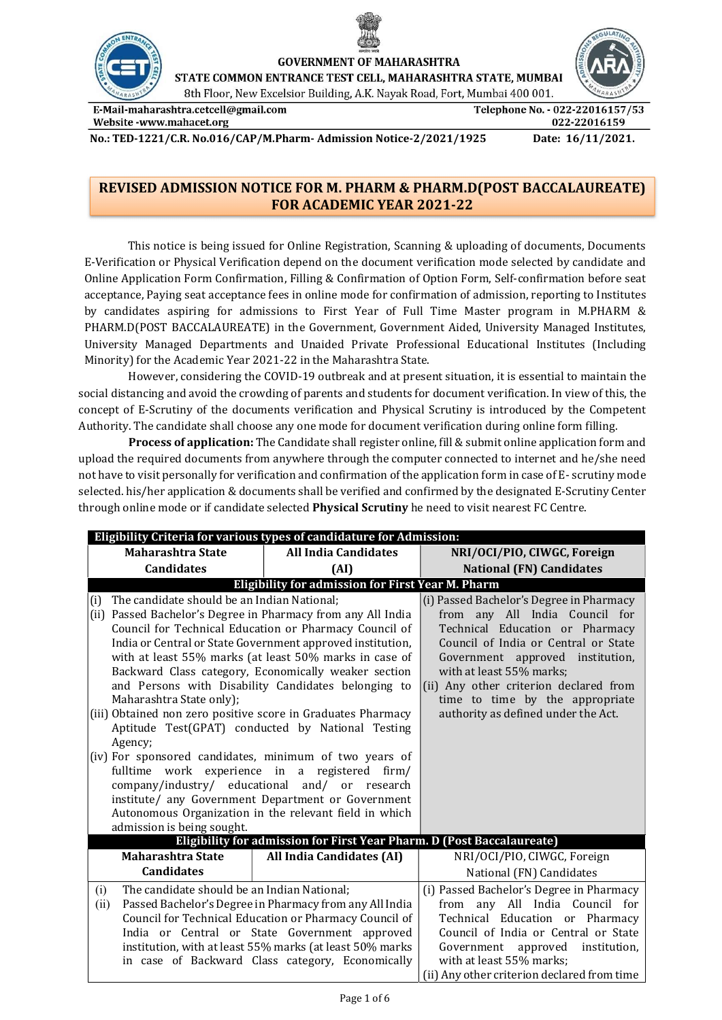



**GOVERNMENT OF MAHARASHTRA** 

STATE COMMON ENTRANCE TEST CELL, MAHARASHTRA STATE, MUMBAI

8th Floor, New Excelsior Building, A.K. Nayak Road, Fort, Mumbai 400 001.

E-Mail-maharashtra.cetcell@gmail.com Website -www.mahacet.org

Telephone No. - 022-22016157/53 022-22016159

No.: TED-1221/C.R. No.016/CAP/M.Pharm- Admission Notice-2/2021/1925 Date: 16/11/2021.

# REVISED ADMISSION NOTICE FOR M. PHARM & PHARM.D(POST BACCALAUREATE) FOR ACADEMIC YEAR 2021-22

This notice is being issued for Online Registration, Scanning & uploading of documents, Documents E-Verification or Physical Verification depend on the document verification mode selected by candidate and Online Application Form Confirmation, Filling & Confirmation of Option Form, Self-confirmation before seat acceptance, Paying seat acceptance fees in online mode for confirmation of admission, reporting to Institutes by candidates aspiring for admissions to First Year of Full Time Master program in M.PHARM & PHARM.D(POST BACCALAUREATE) in the Government, Government Aided, University Managed Institutes, University Managed Departments and Unaided Private Professional Educational Institutes (Including Minority) for the Academic Year 2021-22 in the Maharashtra State.

However, considering the COVID-19 outbreak and at present situation, it is essential to maintain the social distancing and avoid the crowding of parents and students for document verification. In view of this, the concept of E-Scrutiny of the documents verification and Physical Scrutiny is introduced by the Competent Authority. The candidate shall choose any one mode for document verification during online form filling.

Process of application: The Candidate shall register online, fill & submit online application form and upload the required documents from anywhere through the computer connected to internet and he/she need not have to visit personally for verification and confirmation of the application form in case of E- scrutiny mode selected. his/her application & documents shall be verified and confirmed by the designated E-Scrutiny Center through online mode or if candidate selected Physical Scrutiny he need to visit nearest FC Centre.

| Eligibility Criteria for various types of candidature for Admission:                                                                                                                                                                                                                                                          |                                                                                                                                                                                                                                                                                                                                                                                                                                                                                                                                                               |                                                                                                                                                                                                                                                                                                                                           |  |
|-------------------------------------------------------------------------------------------------------------------------------------------------------------------------------------------------------------------------------------------------------------------------------------------------------------------------------|---------------------------------------------------------------------------------------------------------------------------------------------------------------------------------------------------------------------------------------------------------------------------------------------------------------------------------------------------------------------------------------------------------------------------------------------------------------------------------------------------------------------------------------------------------------|-------------------------------------------------------------------------------------------------------------------------------------------------------------------------------------------------------------------------------------------------------------------------------------------------------------------------------------------|--|
| <b>Maharashtra State</b>                                                                                                                                                                                                                                                                                                      | <b>All India Candidates</b>                                                                                                                                                                                                                                                                                                                                                                                                                                                                                                                                   | NRI/OCI/PIO, CIWGC, Foreign                                                                                                                                                                                                                                                                                                               |  |
| <b>Candidates</b>                                                                                                                                                                                                                                                                                                             | (AI)                                                                                                                                                                                                                                                                                                                                                                                                                                                                                                                                                          | <b>National (FN) Candidates</b>                                                                                                                                                                                                                                                                                                           |  |
|                                                                                                                                                                                                                                                                                                                               | Eligibility for admission for First Year M. Pharm                                                                                                                                                                                                                                                                                                                                                                                                                                                                                                             |                                                                                                                                                                                                                                                                                                                                           |  |
| The candidate should be an Indian National;<br>(i)<br>(ii) Passed Bachelor's Degree in Pharmacy from any All India<br>Maharashtra State only);<br>(iii) Obtained non zero positive score in Graduates Pharmacy<br>Agency;<br>(iv) For sponsored candidates, minimum of two years of<br>fulltime<br>admission is being sought. | Council for Technical Education or Pharmacy Council of<br>India or Central or State Government approved institution,<br>with at least 55% marks (at least 50% marks in case of<br>Backward Class category, Economically weaker section<br>and Persons with Disability Candidates belonging to<br>Aptitude Test(GPAT) conducted by National Testing<br>work experience in a registered firm/<br>company/industry/ educational and/ or research<br>institute/ any Government Department or Government<br>Autonomous Organization in the relevant field in which | (i) Passed Bachelor's Degree in Pharmacy<br>from any All India Council for<br>Technical Education or Pharmacy<br>Council of India or Central or State<br>Government approved institution,<br>with at least 55% marks;<br>(ii) Any other criterion declared from<br>time to time by the appropriate<br>authority as defined under the Act. |  |
|                                                                                                                                                                                                                                                                                                                               | Eligibility for admission for First Year Pharm. D (Post Baccalaureate)                                                                                                                                                                                                                                                                                                                                                                                                                                                                                        |                                                                                                                                                                                                                                                                                                                                           |  |
| <b>Maharashtra State</b>                                                                                                                                                                                                                                                                                                      | All India Candidates (AI)                                                                                                                                                                                                                                                                                                                                                                                                                                                                                                                                     | NRI/OCI/PIO, CIWGC, Foreign                                                                                                                                                                                                                                                                                                               |  |
| <b>Candidates</b>                                                                                                                                                                                                                                                                                                             |                                                                                                                                                                                                                                                                                                                                                                                                                                                                                                                                                               | National (FN) Candidates                                                                                                                                                                                                                                                                                                                  |  |
| The candidate should be an Indian National;<br>(i)<br>(ii)                                                                                                                                                                                                                                                                    | Passed Bachelor's Degree in Pharmacy from any All India<br>Council for Technical Education or Pharmacy Council of<br>India or Central or State Government approved<br>institution, with at least 55% marks (at least 50% marks<br>in case of Backward Class category, Economically                                                                                                                                                                                                                                                                            | (i) Passed Bachelor's Degree in Pharmacy<br>from any All India Council for<br>Technical Education or Pharmacy<br>Council of India or Central or State<br>Government approved<br>institution,<br>with at least 55% marks;<br>(ii) Any other criterion declared from time                                                                   |  |

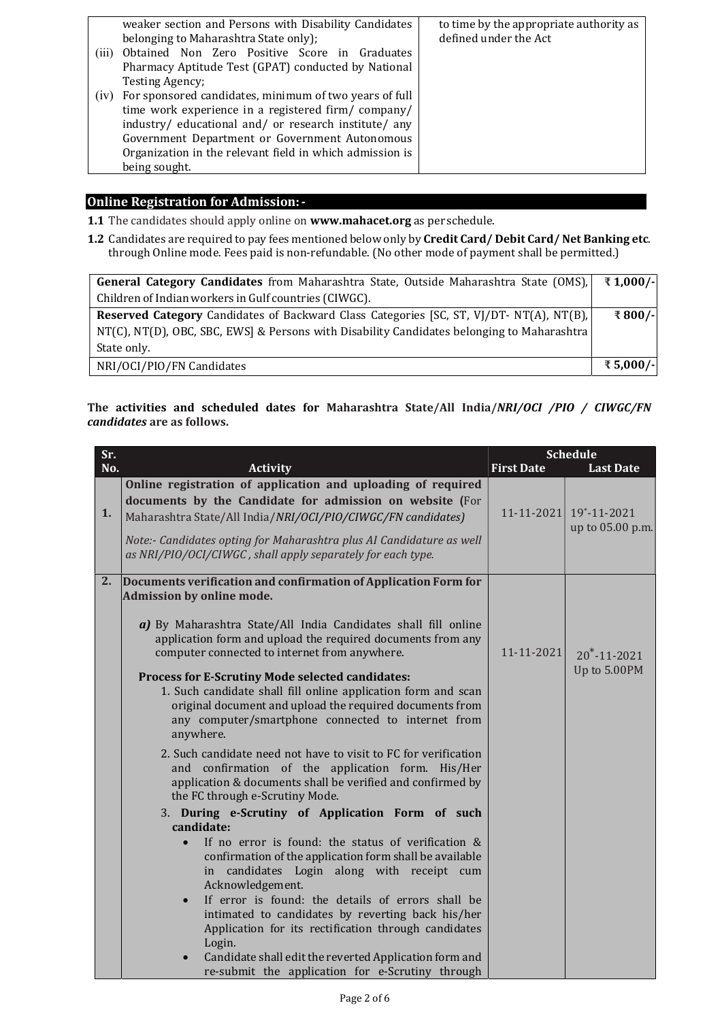|       | weaker section and Persons with Disability Candidates<br>belonging to Maharashtra State only); | to time by the appropriate authority as<br>defined under the Act |
|-------|------------------------------------------------------------------------------------------------|------------------------------------------------------------------|
| (iii) | Obtained Non Zero Positive Score in Graduates                                                  |                                                                  |
|       | Pharmacy Aptitude Test (GPAT) conducted by National                                            |                                                                  |
|       | Testing Agency;                                                                                |                                                                  |
| (iv)  | For sponsored candidates, minimum of two years of full                                         |                                                                  |
|       | time work experience in a registered firm/ company/                                            |                                                                  |
|       | industry/ educational and/ or research institute/ any                                          |                                                                  |
|       | Government Department or Government Autonomous                                                 |                                                                  |
|       | Organization in the relevant field in which admission is                                       |                                                                  |
|       | being sought.                                                                                  |                                                                  |

### Online Registration for Admission: -

- 1.1 The candidates should apply online on www.mahacet.org as per schedule.
- 1.2 Candidates are required to pay fees mentioned below only by Credit Card/ Debit Card/ Net Banking etc. through Online mode. Fees paid is non-refundable. (No other mode of payment shall be permitted.)

| <b>General Category Candidates</b> from Maharashtra State, Outside Maharashtra State (OMS), $\mathbb{R}$ 1,000/- |          |
|------------------------------------------------------------------------------------------------------------------|----------|
|                                                                                                                  |          |
| Children of Indian workers in Gulf countries (CIWGC).                                                            |          |
| <b>Reserved Category</b> Candidates of Backward Class Categories [SC, ST, VJ/DT- NT(A), NT(B),                   | ₹800/-   |
| NT(C), NT(D), OBC, SBC, EWS] & Persons with Disability Candidates belonging to Maharashtra                       |          |
| State only.                                                                                                      |          |
| NRI/OCI/PIO/FN Candidates                                                                                        | ₹5,000/- |

## The activities and scheduled dates for Maharashtra State/All India/NRI/OCI /PIO / CIWGC/FN candidates are as follows.

| Sr. |                                                                                                                                                                                                                                                                                                                                                                                          | <b>Schedule</b>   |                                            |
|-----|------------------------------------------------------------------------------------------------------------------------------------------------------------------------------------------------------------------------------------------------------------------------------------------------------------------------------------------------------------------------------------------|-------------------|--------------------------------------------|
| No. | <b>Activity</b>                                                                                                                                                                                                                                                                                                                                                                          | <b>First Date</b> | <b>Last Date</b>                           |
| 1.  | Online registration of application and uploading of required<br>documents by the Candidate for admission on website (For<br>Maharashtra State/All India/NRI/OCI/PIO/CIWGC/FN candidates)<br>Note:- Candidates opting for Maharashtra plus AI Candidature as well<br>as NRI/PIO/OCI/CIWGC, shall apply separately for each type.                                                          |                   | 11-11-2021 19*-11-2021<br>up to 05.00 p.m. |
| 2.  | Documents verification and confirmation of Application Form for<br>Admission by online mode.<br>a) By Maharashtra State/All India Candidates shall fill online<br>application form and upload the required documents from any<br>computer connected to internet from anywhere.                                                                                                           | $11 - 11 - 2021$  | $20^* - 11 - 2021$                         |
|     | Process for E-Scrutiny Mode selected candidates:<br>1. Such candidate shall fill online application form and scan<br>original document and upload the required documents from<br>any computer/smartphone connected to internet from<br>anywhere.                                                                                                                                         |                   | Up to 5.00PM                               |
|     | 2. Such candidate need not have to visit to FC for verification<br>and confirmation of the application form. His/Her<br>application & documents shall be verified and confirmed by<br>the FC through e-Scrutiny Mode.                                                                                                                                                                    |                   |                                            |
|     | 3. During e-Scrutiny of Application Form of such<br>candidate:                                                                                                                                                                                                                                                                                                                           |                   |                                            |
|     | If no error is found: the status of verification &<br>$\bullet$<br>confirmation of the application form shall be available<br>candidates Login along with receipt cum<br>in<br>Acknowledgement.<br>If error is found: the details of errors shall be<br>$\bullet$<br>intimated to candidates by reverting back his/her<br>Application for its rectification through candidates<br>Login. |                   |                                            |
|     | Candidate shall edit the reverted Application form and<br>re-submit the application for e-Scrutiny through                                                                                                                                                                                                                                                                               |                   |                                            |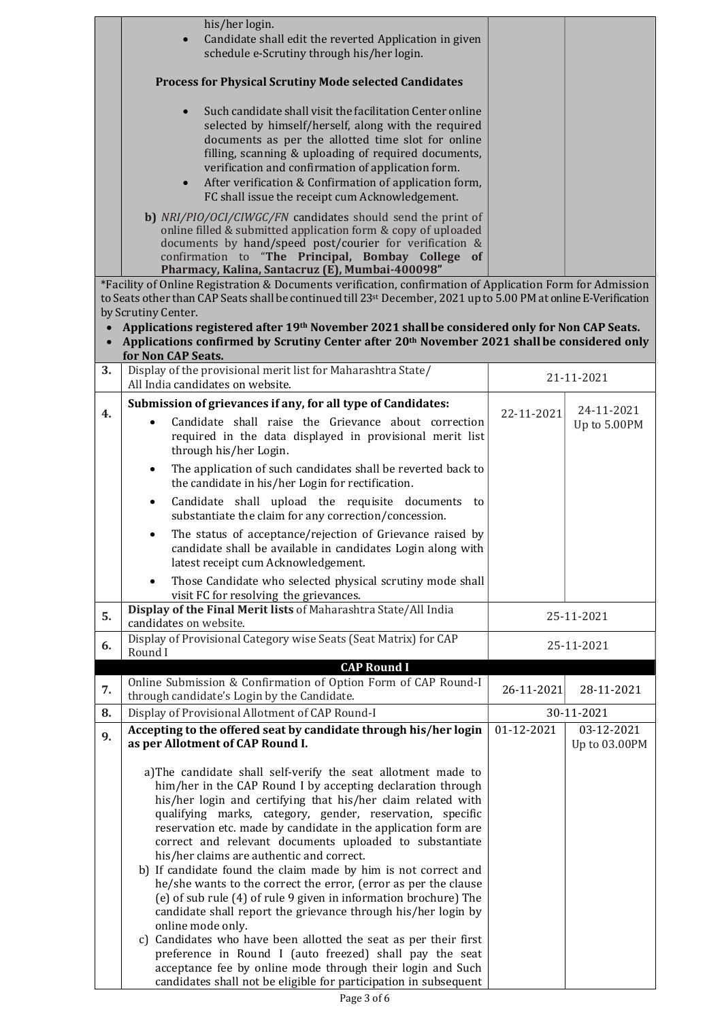|           | his/her login.<br>Candidate shall edit the reverted Application in given<br>schedule e-Scrutiny through his/her login.                                                                                                                                                                                                                                                                                                                                                                                                                                                                                                                                                                                                                                                                                                                                           |            |                             |
|-----------|------------------------------------------------------------------------------------------------------------------------------------------------------------------------------------------------------------------------------------------------------------------------------------------------------------------------------------------------------------------------------------------------------------------------------------------------------------------------------------------------------------------------------------------------------------------------------------------------------------------------------------------------------------------------------------------------------------------------------------------------------------------------------------------------------------------------------------------------------------------|------------|-----------------------------|
|           | <b>Process for Physical Scrutiny Mode selected Candidates</b>                                                                                                                                                                                                                                                                                                                                                                                                                                                                                                                                                                                                                                                                                                                                                                                                    |            |                             |
|           | Such candidate shall visit the facilitation Center online<br>selected by himself/herself, along with the required<br>documents as per the allotted time slot for online<br>filling, scanning & uploading of required documents,<br>verification and confirmation of application form.<br>After verification & Confirmation of application form,<br>$\bullet$<br>FC shall issue the receipt cum Acknowledgement.                                                                                                                                                                                                                                                                                                                                                                                                                                                  |            |                             |
|           | b) NRI/PIO/OCI/CIWGC/FN candidates should send the print of<br>online filled & submitted application form & copy of uploaded<br>documents by hand/speed post/courier for verification &<br>confirmation to "The Principal, Bombay College of<br>Pharmacy, Kalina, Santacruz (E), Mumbai-400098"                                                                                                                                                                                                                                                                                                                                                                                                                                                                                                                                                                  |            |                             |
|           | *Facility of Online Registration & Documents verification, confirmation of Application Form for Admission<br>to Seats other than CAP Seats shall be continued till 23 <sup>st</sup> December, 2021 up to 5.00 PM at online E-Verification<br>by Scrutiny Center.                                                                                                                                                                                                                                                                                                                                                                                                                                                                                                                                                                                                 |            |                             |
| $\bullet$ | Applications registered after 19th November 2021 shall be considered only for Non CAP Seats.<br>Applications confirmed by Scrutiny Center after 20 <sup>th</sup> November 2021 shall be considered only<br>for Non CAP Seats.                                                                                                                                                                                                                                                                                                                                                                                                                                                                                                                                                                                                                                    |            |                             |
| 3.        | Display of the provisional merit list for Maharashtra State/<br>All India candidates on website.                                                                                                                                                                                                                                                                                                                                                                                                                                                                                                                                                                                                                                                                                                                                                                 |            | 21-11-2021                  |
|           | Submission of grievances if any, for all type of Candidates:                                                                                                                                                                                                                                                                                                                                                                                                                                                                                                                                                                                                                                                                                                                                                                                                     |            | 24-11-2021                  |
| 4.        | Candidate shall raise the Grievance about correction<br>required in the data displayed in provisional merit list<br>through his/her Login.                                                                                                                                                                                                                                                                                                                                                                                                                                                                                                                                                                                                                                                                                                                       | 22-11-2021 | Up to 5.00PM                |
|           | The application of such candidates shall be reverted back to<br>$\bullet$<br>the candidate in his/her Login for rectification.                                                                                                                                                                                                                                                                                                                                                                                                                                                                                                                                                                                                                                                                                                                                   |            |                             |
|           | Candidate shall upload the requisite documents to<br>$\bullet$<br>substantiate the claim for any correction/concession.                                                                                                                                                                                                                                                                                                                                                                                                                                                                                                                                                                                                                                                                                                                                          |            |                             |
|           | The status of acceptance/rejection of Grievance raised by<br>$\bullet$<br>candidate shall be available in candidates Login along with<br>latest receipt cum Acknowledgement.                                                                                                                                                                                                                                                                                                                                                                                                                                                                                                                                                                                                                                                                                     |            |                             |
|           | Those Candidate who selected physical scrutiny mode shall                                                                                                                                                                                                                                                                                                                                                                                                                                                                                                                                                                                                                                                                                                                                                                                                        |            |                             |
| 5.        | visit FC for resolving the grievances.<br>Display of the Final Merit lists of Maharashtra State/All India<br>candidates on website.                                                                                                                                                                                                                                                                                                                                                                                                                                                                                                                                                                                                                                                                                                                              |            | 25-11-2021                  |
| 6.        | Display of Provisional Category wise Seats (Seat Matrix) for CAP<br>Round I                                                                                                                                                                                                                                                                                                                                                                                                                                                                                                                                                                                                                                                                                                                                                                                      |            | 25-11-2021                  |
|           | <b>CAP Round I</b>                                                                                                                                                                                                                                                                                                                                                                                                                                                                                                                                                                                                                                                                                                                                                                                                                                               |            |                             |
| 7.        | Online Submission & Confirmation of Option Form of CAP Round-I<br>through candidate's Login by the Candidate.                                                                                                                                                                                                                                                                                                                                                                                                                                                                                                                                                                                                                                                                                                                                                    | 26-11-2021 | 28-11-2021                  |
| 8.        | Display of Provisional Allotment of CAP Round-I                                                                                                                                                                                                                                                                                                                                                                                                                                                                                                                                                                                                                                                                                                                                                                                                                  |            | 30-11-2021                  |
| 9.        | Accepting to the offered seat by candidate through his/her login<br>as per Allotment of CAP Round I.                                                                                                                                                                                                                                                                                                                                                                                                                                                                                                                                                                                                                                                                                                                                                             | 01-12-2021 | 03-12-2021<br>Up to 03.00PM |
|           | a)The candidate shall self-verify the seat allotment made to<br>him/her in the CAP Round I by accepting declaration through<br>his/her login and certifying that his/her claim related with<br>qualifying marks, category, gender, reservation, specific<br>reservation etc. made by candidate in the application form are<br>correct and relevant documents uploaded to substantiate<br>his/her claims are authentic and correct.<br>b) If candidate found the claim made by him is not correct and<br>he/she wants to the correct the error, (error as per the clause<br>(e) of sub rule (4) of rule 9 given in information brochure) The<br>candidate shall report the grievance through his/her login by<br>online mode only.<br>c) Candidates who have been allotted the seat as per their first<br>preference in Round I (auto freezed) shall pay the seat |            |                             |
|           | acceptance fee by online mode through their login and Such<br>candidates shall not be eligible for participation in subsequent                                                                                                                                                                                                                                                                                                                                                                                                                                                                                                                                                                                                                                                                                                                                   |            |                             |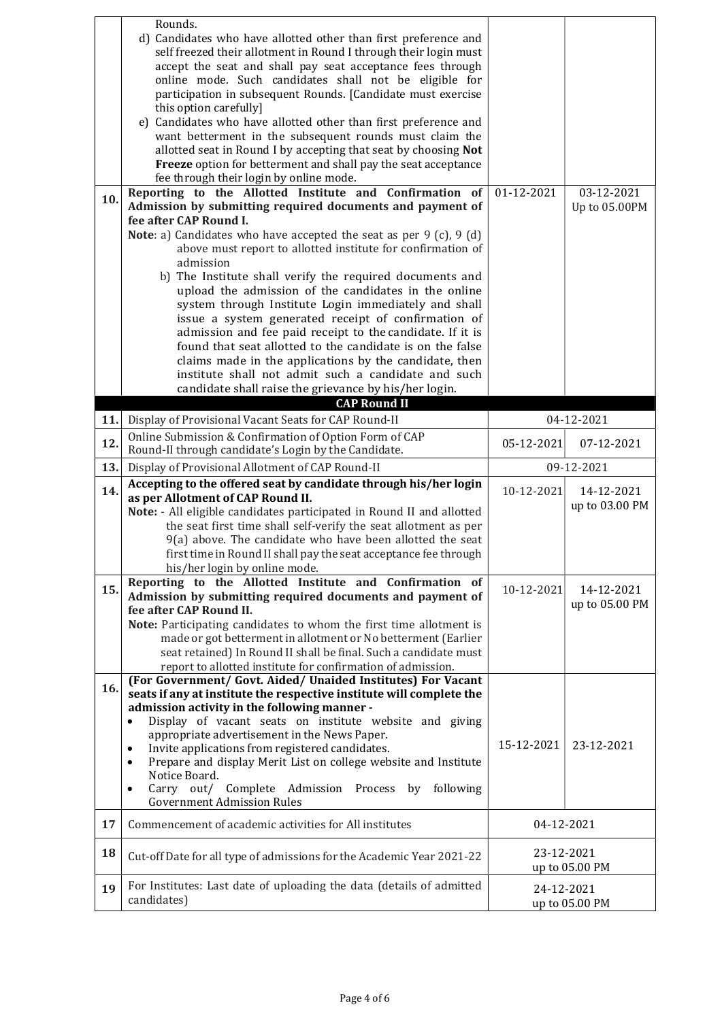|     | Rounds.<br>d) Candidates who have allotted other than first preference and                                                               |            |                |
|-----|------------------------------------------------------------------------------------------------------------------------------------------|------------|----------------|
|     | self freezed their allotment in Round I through their login must                                                                         |            |                |
|     | accept the seat and shall pay seat acceptance fees through                                                                               |            |                |
|     | online mode. Such candidates shall not be eligible for<br>participation in subsequent Rounds. [Candidate must exercise                   |            |                |
|     | this option carefully]                                                                                                                   |            |                |
|     | e) Candidates who have allotted other than first preference and                                                                          |            |                |
|     | want betterment in the subsequent rounds must claim the                                                                                  |            |                |
|     | allotted seat in Round I by accepting that seat by choosing Not                                                                          |            |                |
|     | Freeze option for betterment and shall pay the seat acceptance                                                                           |            |                |
|     | fee through their login by online mode.                                                                                                  |            |                |
| 10. | Reporting to the Allotted Institute and Confirmation of<br>Admission by submitting required documents and payment of                     | 01-12-2021 | 03-12-2021     |
|     | fee after CAP Round I.                                                                                                                   |            | Up to 05.00PM  |
|     | <b>Note</b> : a) Candidates who have accepted the seat as per $9$ (c), $9$ (d)                                                           |            |                |
|     | above must report to allotted institute for confirmation of                                                                              |            |                |
|     | admission                                                                                                                                |            |                |
|     | b) The Institute shall verify the required documents and                                                                                 |            |                |
|     | upload the admission of the candidates in the online                                                                                     |            |                |
|     | system through Institute Login immediately and shall<br>issue a system generated receipt of confirmation of                              |            |                |
|     | admission and fee paid receipt to the candidate. If it is                                                                                |            |                |
|     | found that seat allotted to the candidate is on the false                                                                                |            |                |
|     | claims made in the applications by the candidate, then                                                                                   |            |                |
|     | institute shall not admit such a candidate and such                                                                                      |            |                |
|     | candidate shall raise the grievance by his/her login.                                                                                    |            |                |
| 11. | <b>CAP Round II</b><br>Display of Provisional Vacant Seats for CAP Round-II                                                              |            | 04-12-2021     |
|     | Online Submission & Confirmation of Option Form of CAP                                                                                   |            |                |
| 12. | Round-II through candidate's Login by the Candidate.                                                                                     | 05-12-2021 | 07-12-2021     |
|     | Display of Provisional Allotment of CAP Round-II                                                                                         |            | 09-12-2021     |
| 13. |                                                                                                                                          |            |                |
| 14. | Accepting to the offered seat by candidate through his/her login                                                                         | 10-12-2021 | 14-12-2021     |
|     | as per Allotment of CAP Round II.                                                                                                        |            | up to 03.00 PM |
|     | Note: - All eligible candidates participated in Round II and allotted<br>the seat first time shall self-verify the seat allotment as per |            |                |
|     | 9(a) above. The candidate who have been allotted the seat                                                                                |            |                |
|     | first time in Round II shall pay the seat acceptance fee through                                                                         |            |                |
|     | his/her login by online mode.                                                                                                            |            |                |
| 15. | Reporting to the Allotted Institute and Confirmation of                                                                                  | 10-12-2021 | 14-12-2021     |
|     | Admission by submitting required documents and payment of                                                                                |            | up to 05.00 PM |
|     | fee after CAP Round II.                                                                                                                  |            |                |
|     | Note: Participating candidates to whom the first time allotment is<br>made or got betterment in allotment or No betterment (Earlier      |            |                |
|     | seat retained) In Round II shall be final. Such a candidate must                                                                         |            |                |
|     | report to allotted institute for confirmation of admission.                                                                              |            |                |
| 16. | (For Government/ Govt. Aided/ Unaided Institutes) For Vacant                                                                             |            |                |
|     | seats if any at institute the respective institute will complete the                                                                     |            |                |
|     | admission activity in the following manner -<br>Display of vacant seats on institute website and giving                                  |            |                |
|     | appropriate advertisement in the News Paper.                                                                                             |            |                |
|     | Invite applications from registered candidates.<br>$\bullet$                                                                             | 15-12-2021 | 23-12-2021     |
|     | Prepare and display Merit List on college website and Institute<br>$\bullet$                                                             |            |                |
|     | Notice Board.<br>following<br>Carry out/<br>Complete Admission<br>Process<br>by<br>$\bullet$                                             |            |                |
|     | <b>Government Admission Rules</b>                                                                                                        |            |                |
| 17  | Commencement of academic activities for All institutes                                                                                   | 04-12-2021 |                |
|     |                                                                                                                                          | 23-12-2021 |                |
| 18  | Cut-off Date for all type of admissions for the Academic Year 2021-22                                                                    |            | up to 05.00 PM |
| 19  | For Institutes: Last date of uploading the data (details of admitted                                                                     | 24-12-2021 |                |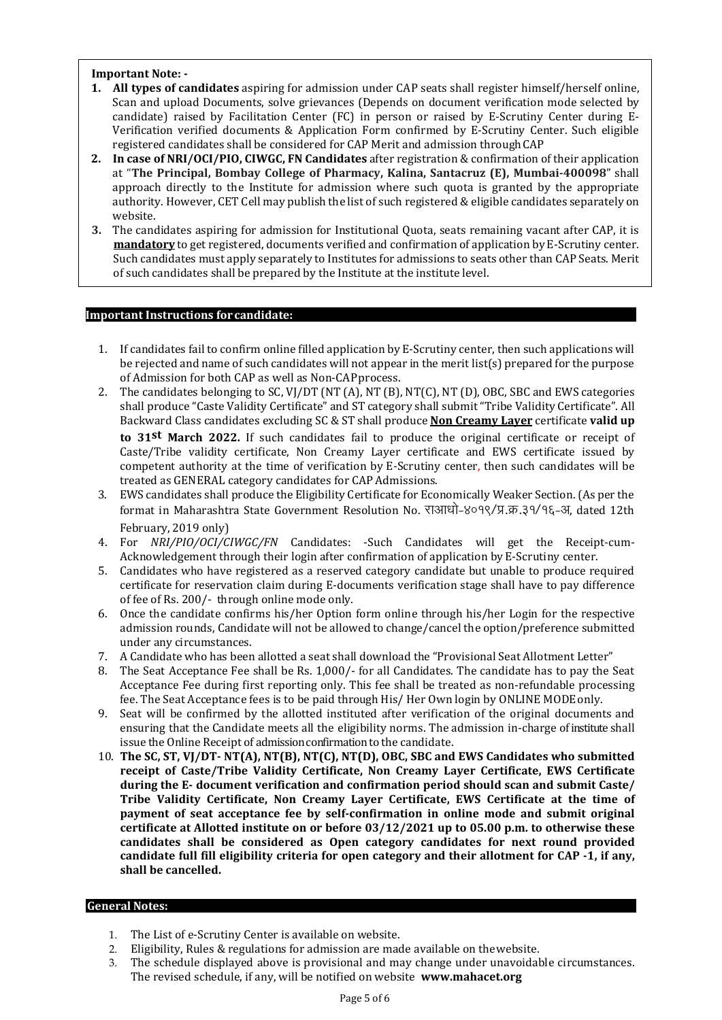#### Important Note: -

- 1. All types of candidates aspiring for admission under CAP seats shall register himself/herself online, Scan and upload Documents, solve grievances (Depends on document verification mode selected by candidate) raised by Facilitation Center (FC) in person or raised by E-Scrutiny Center during E-Verification verified documents & Application Form confirmed by E-Scrutiny Center. Such eligible registered candidates shall be considered for CAP Merit and admission through CAP
- 2. In case of NRI/OCI/PIO, CIWGC, FN Candidates after registration & confirmation of their application at "The Principal, Bombay College of Pharmacy, Kalina, Santacruz (E), Mumbai-400098" shall approach directly to the Institute for admission where such quota is granted by the appropriate authority. However, CET Cell may publish the list of such registered & eligible candidates separately on website.
- 3. The candidates aspiring for admission for Institutional Quota, seats remaining vacant after CAP, it is mandatory to get registered, documents verified and confirmation of application by E-Scrutiny center. Such candidates must apply separately to Institutes for admissions to seats other than CAP Seats. Merit of such candidates shall be prepared by the Institute at the institute level.

#### Important Instructions for candidate:

- 1. If candidates fail to confirm online filled application by E-Scrutiny center, then such applications will be rejected and name of such candidates will not appear in the merit list(s) prepared for the purpose of Admission for both CAP as well as Non-CAP process.
- 2. The candidates belonging to SC, VJ/DT (NT (A), NT (B), NT(C), NT (D), OBC, SBC and EWS categories shall produce "Caste Validity Certificate" and ST category shall submit "Tribe Validity Certificate". All Backward Class candidates excluding SC & ST shall produce Non Creamy Layer certificate valid up to 31<sup>st</sup> March 2022. If such candidates fail to produce the original certificate or receipt of Caste/Tribe validity certificate, Non Creamy Layer certificate and EWS certificate issued by competent authority at the time of verification by E-Scrutiny center, then such candidates will be treated as GENERAL category candidates for CAP Admissions.
- 3. EWS candidates shall produce the Eligibility Certificate for Economically Weaker Section. (As per the format in Maharashtra State Government Resolution No. राआधो-४०१९/प्र.क्र.३१/१६-अ, dated 12th February, 2019 only)
- 4. For NRI/PIO/OCI/CIWGC/FN Candidates: -Such Candidates will get the Receipt-cum-Acknowledgement through their login after confirmation of application by E-Scrutiny center.
- 5. Candidates who have registered as a reserved category candidate but unable to produce required certificate for reservation claim during E-documents verification stage shall have to pay difference of fee of Rs. 200/- through online mode only.
- 6. Once the candidate confirms his/her Option form online through his/her Login for the respective admission rounds, Candidate will not be allowed to change/cancel the option/preference submitted under any circumstances.
- 7. A Candidate who has been allotted a seat shall download the "Provisional Seat Allotment Letter"
- 8. The Seat Acceptance Fee shall be Rs. 1,000/- for all Candidates. The candidate has to pay the Seat Acceptance Fee during first reporting only. This fee shall be treated as non-refundable processing fee. The Seat Acceptance fees is to be paid through His/ Her Own login by ONLINE MODE only.
- 9. Seat will be confirmed by the allotted instituted after verification of the original documents and ensuring that the Candidate meets all the eligibility norms. The admission in-charge of institute shall issue the Online Receipt of admission confirmation to the candidate.
- 10. The SC, ST, VJ/DT- NT(A), NT(B), NT(C), NT(D), OBC, SBC and EWS Candidates who submitted receipt of Caste/Tribe Validity Certificate, Non Creamy Layer Certificate, EWS Certificate during the E- document verification and confirmation period should scan and submit Caste/ Tribe Validity Certificate, Non Creamy Layer Certificate, EWS Certificate at the time of payment of seat acceptance fee by self-confirmation in online mode and submit original certificate at Allotted institute on or before 03/12/2021 up to 05.00 p.m. to otherwise these candidates shall be considered as Open category candidates for next round provided candidate full fill eligibility criteria for open category and their allotment for CAP -1, if any, shall be cancelled.

#### General Notes:

- 1. The List of e-Scrutiny Center is available on website.
- 2. Eligibility, Rules & regulations for admission are made available on the website.
- 3. The schedule displayed above is provisional and may change under unavoidable circumstances. The revised schedule, if any, will be notified on website www.mahacet.org